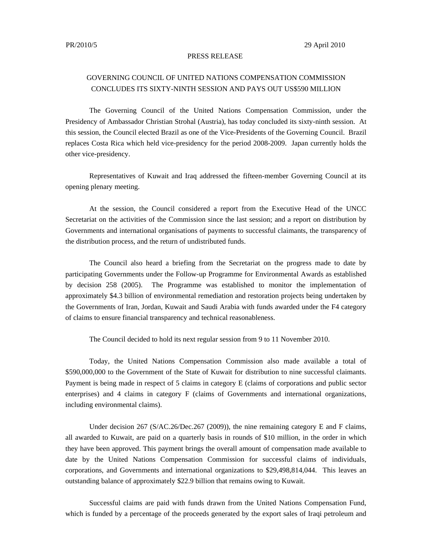## PRESS RELEASE

## GOVERNING COUNCIL OF UNITED NATIONS COMPENSATION COMMISSION CONCLUDES ITS SIXTY-NINTH SESSION AND PAYS OUT US\$590 MILLION

The Governing Council of the United Nations Compensation Commission, under the Presidency of Ambassador Christian Strohal (Austria), has today concluded its sixty-ninth session. At this session, the Council elected Brazil as one of the Vice-Presidents of the Governing Council. Brazil replaces Costa Rica which held vice-presidency for the period 2008-2009. Japan currently holds the other vice-presidency.

Representatives of Kuwait and Iraq addressed the fifteen-member Governing Council at its opening plenary meeting.

At the session, the Council considered a report from the Executive Head of the UNCC Secretariat on the activities of the Commission since the last session; and a report on distribution by Governments and international organisations of payments to successful claimants, the transparency of the distribution process, and the return of undistributed funds.

The Council also heard a briefing from the Secretariat on the progress made to date by participating Governments under the Follow-up Programme for Environmental Awards as established by decision 258 (2005). The Programme was established to monitor the implementation of approximately \$4.3 billion of environmental remediation and restoration projects being undertaken by the Governments of Iran, Jordan, Kuwait and Saudi Arabia with funds awarded under the F4 category of claims to ensure financial transparency and technical reasonableness.

The Council decided to hold its next regular session from 9 to 11 November 2010.

Today, the United Nations Compensation Commission also made available a total of \$590,000,000 to the Government of the State of Kuwait for distribution to nine successful claimants. Payment is being made in respect of 5 claims in category E (claims of corporations and public sector enterprises) and 4 claims in category F (claims of Governments and international organizations, including environmental claims).

Under decision 267 (S/AC.26/Dec.267 (2009)), the nine remaining category E and F claims, all awarded to Kuwait, are paid on a quarterly basis in rounds of \$10 million, in the order in which they have been approved. This payment brings the overall amount of compensation made available to date by the United Nations Compensation Commission for successful claims of individuals, corporations, and Governments and international organizations to \$29,498,814,044. This leaves an outstanding balance of approximately \$22.9 billion that remains owing to Kuwait.

Successful claims are paid with funds drawn from the United Nations Compensation Fund, which is funded by a percentage of the proceeds generated by the export sales of Iraqi petroleum and